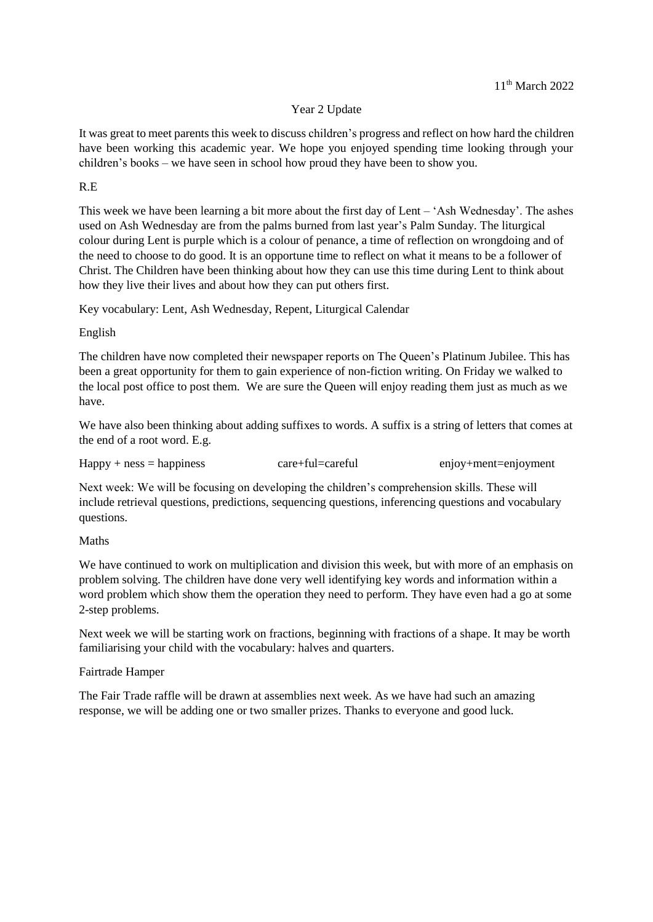#### Year 2 Update

It was great to meet parents this week to discuss children's progress and reflect on how hard the children have been working this academic year. We hope you enjoyed spending time looking through your children's books – we have seen in school how proud they have been to show you.

#### R.E

This week we have been learning a bit more about the first day of Lent – 'Ash Wednesday'. The ashes used on Ash Wednesday are from the palms burned from last year's Palm Sunday. The liturgical colour during Lent is purple which is a colour of penance, a time of reflection on wrongdoing and of the need to choose to do good. It is an opportune time to reflect on what it means to be a follower of Christ. The Children have been thinking about how they can use this time during Lent to think about how they live their lives and about how they can put others first.

Key vocabulary: Lent, Ash Wednesday, Repent, Liturgical Calendar

#### English

The children have now completed their newspaper reports on The Queen's Platinum Jubilee. This has been a great opportunity for them to gain experience of non-fiction writing. On Friday we walked to the local post office to post them. We are sure the Queen will enjoy reading them just as much as we have.

We have also been thinking about adding suffixes to words. A suffix is a string of letters that comes at the end of a root word. E.g.

Happy + ness = happiness care+ful=careful enjoy+ment=enjoyment

Next week: We will be focusing on developing the children's comprehension skills. These will include retrieval questions, predictions, sequencing questions, inferencing questions and vocabulary questions.

#### Maths

We have continued to work on multiplication and division this week, but with more of an emphasis on problem solving. The children have done very well identifying key words and information within a word problem which show them the operation they need to perform. They have even had a go at some 2-step problems.

Next week we will be starting work on fractions, beginning with fractions of a shape. It may be worth familiarising your child with the vocabulary: halves and quarters.

#### Fairtrade Hamper

The Fair Trade raffle will be drawn at assemblies next week. As we have had such an amazing response, we will be adding one or two smaller prizes. Thanks to everyone and good luck.